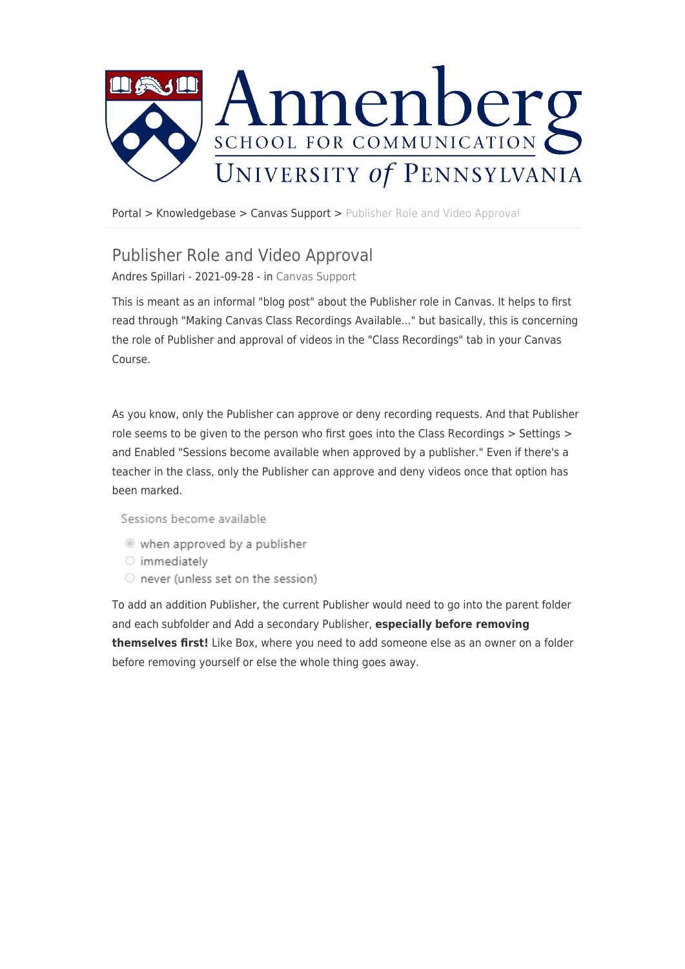

[Portal](https://ithelpdesk.asc.upenn.edu/) > [Knowledgebase](https://ithelpdesk.asc.upenn.edu/kb) > [Canvas Support](https://ithelpdesk.asc.upenn.edu/kb/canvas-support) > [Publisher Role and Video Approval](https://ithelpdesk.asc.upenn.edu/kb/articles/publisher-role-and-video-approval)

## Publisher Role and Video Approval

Andres Spillari - 2021-09-28 - in [Canvas Support](https://ithelpdesk.asc.upenn.edu/kb/canvas-support)

This is meant as an informal "blog post" about the Publisher role in Canvas. It helps to first read through "Making Canvas Class Recordings Available..." but basically, this is concerning the role of Publisher and approval of videos in the "Class Recordings" tab in your Canvas Course.

As you know, only the Publisher can approve or deny recording requests. And that Publisher role seems to be given to the person who first goes into the Class Recordings > Settings > and Enabled "Sessions become available when approved by a publisher." Even if there's a teacher in the class, only the Publisher can approve and deny videos once that option has been marked.

Sessions become available

- when approved by a publisher
- o immediately
- O never (unless set on the session)

To add an addition Publisher, the current Publisher would need to go into the parent folder and each subfolder and Add a secondary Publisher, **especially before removing themselves first!** Like Box, where you need to add someone else as an owner on a folder before removing yourself or else the whole thing goes away.